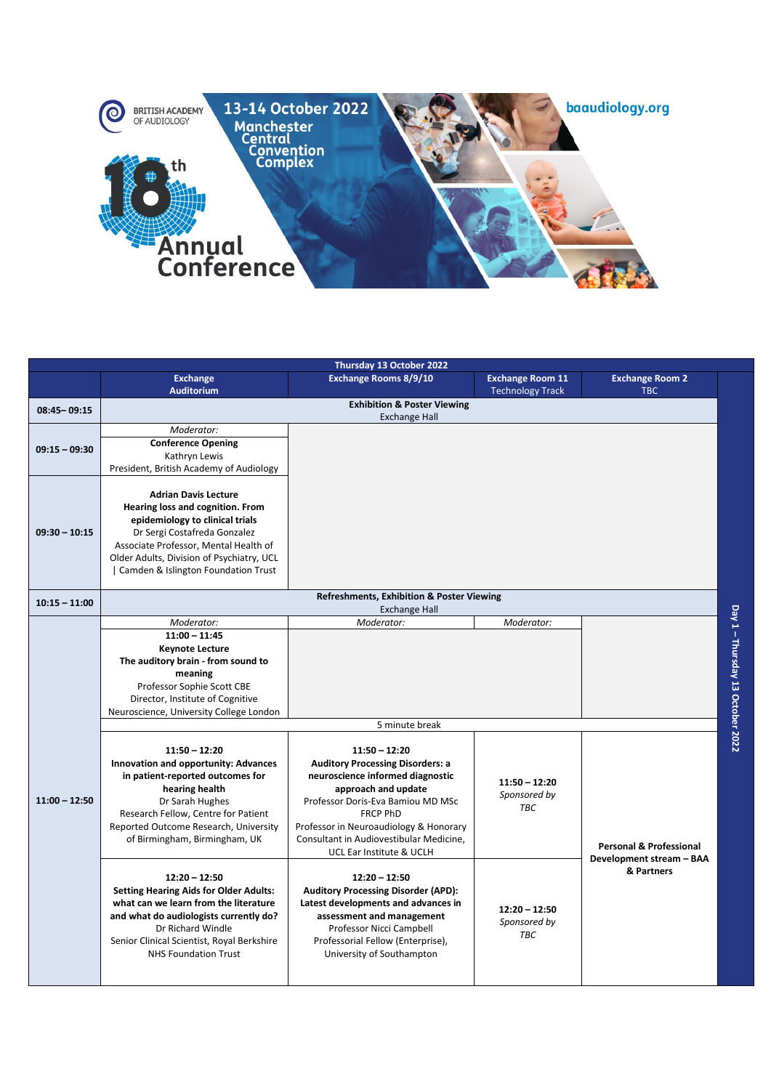

|                 |                                                                                                                                                                                                                                                                   | Thursday 13 October 2022                                                                                                                                                                                                                                                                       |                                                    |                                                                              |                                  |  |
|-----------------|-------------------------------------------------------------------------------------------------------------------------------------------------------------------------------------------------------------------------------------------------------------------|------------------------------------------------------------------------------------------------------------------------------------------------------------------------------------------------------------------------------------------------------------------------------------------------|----------------------------------------------------|------------------------------------------------------------------------------|----------------------------------|--|
|                 | <b>Exchange</b><br><b>Auditorium</b>                                                                                                                                                                                                                              | Exchange Rooms 8/9/10                                                                                                                                                                                                                                                                          | <b>Exchange Room 11</b><br><b>Technology Track</b> | <b>Exchange Room 2</b><br><b>TBC</b>                                         |                                  |  |
| $08:45 - 09:15$ | <b>Exhibition &amp; Poster Viewing</b><br><b>Exchange Hall</b>                                                                                                                                                                                                    |                                                                                                                                                                                                                                                                                                |                                                    |                                                                              |                                  |  |
| $09:15 - 09:30$ | Moderator:<br><b>Conference Opening</b><br>Kathryn Lewis<br>President, British Academy of Audiology                                                                                                                                                               |                                                                                                                                                                                                                                                                                                |                                                    |                                                                              |                                  |  |
| $09:30 - 10:15$ | <b>Adrian Davis Lecture</b><br>Hearing loss and cognition. From<br>epidemiology to clinical trials<br>Dr Sergi Costafreda Gonzalez<br>Associate Professor, Mental Health of<br>Older Adults, Division of Psychiatry, UCL<br>  Camden & Islington Foundation Trust |                                                                                                                                                                                                                                                                                                |                                                    |                                                                              |                                  |  |
| $10:15 - 11:00$ | Refreshments, Exhibition & Poster Viewing<br><b>Exchange Hall</b>                                                                                                                                                                                                 |                                                                                                                                                                                                                                                                                                |                                                    |                                                                              |                                  |  |
|                 | Moderator:<br>$11:00 - 11:45$<br><b>Keynote Lecture</b><br>The auditory brain - from sound to<br>meaning<br>Professor Sophie Scott CBE<br>Director, Institute of Cognitive<br>Neuroscience, University College London                                             | Moderator:                                                                                                                                                                                                                                                                                     | Moderator:                                         |                                                                              | Day 1 - Thursday 13 October 2022 |  |
|                 | 5 minute break                                                                                                                                                                                                                                                    |                                                                                                                                                                                                                                                                                                |                                                    |                                                                              |                                  |  |
| $11:00 - 12:50$ | $11:50 - 12:20$<br>Innovation and opportunity: Advances<br>in patient-reported outcomes for<br>hearing health<br>Dr Sarah Hughes<br>Research Fellow, Centre for Patient<br>Reported Outcome Research, University<br>of Birmingham, Birmingham, UK                 | $11:50 - 12:20$<br><b>Auditory Processing Disorders: a</b><br>neuroscience informed diagnostic<br>approach and update<br>Professor Doris-Eva Bamiou MD MSc<br><b>FRCP PhD</b><br>Professor in Neuroaudiology & Honorary<br>Consultant in Audiovestibular Medicine,<br>UCL Ear Institute & UCLH | $11:50 - 12:20$<br>Sponsored by<br><b>TBC</b>      | <b>Personal &amp; Professional</b><br>Development stream - BAA<br>& Partners |                                  |  |
|                 | $12:20 - 12:50$<br><b>Setting Hearing Aids for Older Adults:</b><br>what can we learn from the literature<br>and what do audiologists currently do?<br>Dr Richard Windle<br>Senior Clinical Scientist, Royal Berkshire<br><b>NHS Foundation Trust</b>             | $12:20 - 12:50$<br><b>Auditory Processing Disorder (APD):</b><br>Latest developments and advances in<br>assessment and management<br>Professor Nicci Campbell<br>Professorial Fellow (Enterprise),<br>University of Southampton                                                                | $12:20 - 12:50$<br>Sponsored by<br><b>TBC</b>      |                                                                              |                                  |  |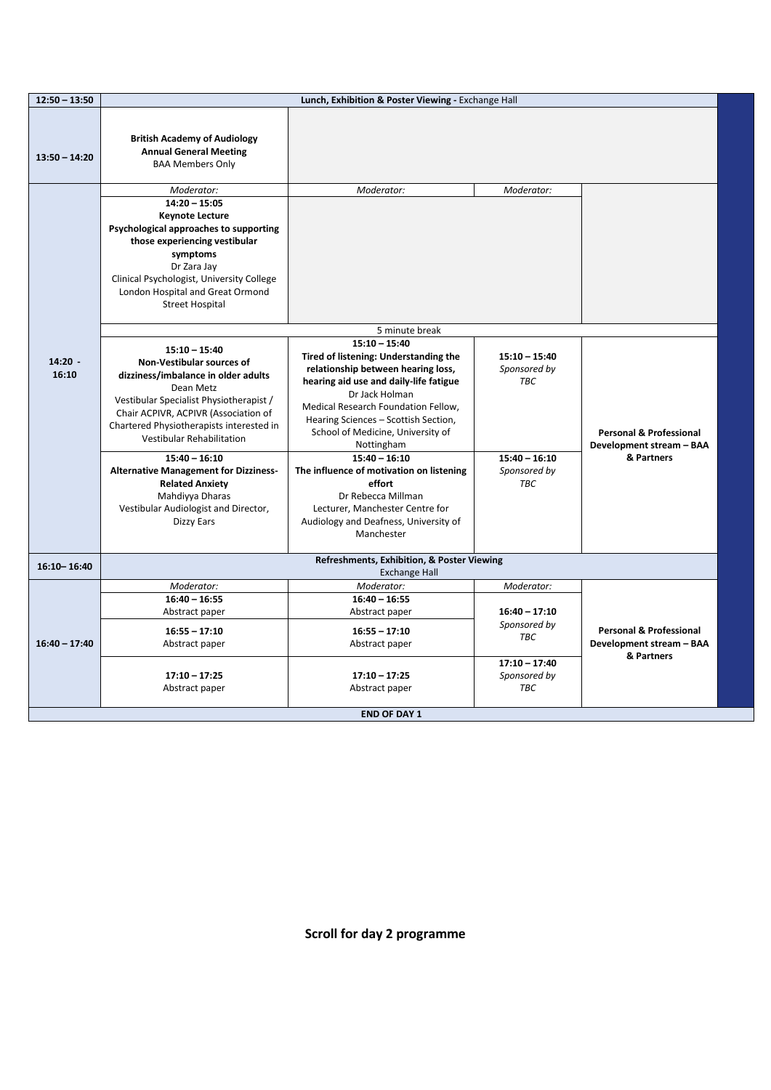| $12:50 - 13:50$    |                                                                                                                                                                                                                                                                                                                                                                                                                                           | Lunch, Exhibition & Poster Viewing - Exchange Hall                                                                                                                                                                                                                                                                                                                                                                                                                                    |                                                                                                |                                                                              |
|--------------------|-------------------------------------------------------------------------------------------------------------------------------------------------------------------------------------------------------------------------------------------------------------------------------------------------------------------------------------------------------------------------------------------------------------------------------------------|---------------------------------------------------------------------------------------------------------------------------------------------------------------------------------------------------------------------------------------------------------------------------------------------------------------------------------------------------------------------------------------------------------------------------------------------------------------------------------------|------------------------------------------------------------------------------------------------|------------------------------------------------------------------------------|
| $13:50 - 14:20$    | <b>British Academy of Audiology</b><br><b>Annual General Meeting</b><br><b>BAA Members Only</b>                                                                                                                                                                                                                                                                                                                                           |                                                                                                                                                                                                                                                                                                                                                                                                                                                                                       |                                                                                                |                                                                              |
|                    | Moderator:<br>$14:20 - 15:05$<br><b>Keynote Lecture</b><br>Psychological approaches to supporting<br>those experiencing vestibular<br>symptoms<br>Dr Zara Jay<br>Clinical Psychologist, University College<br>London Hospital and Great Ormond<br><b>Street Hospital</b>                                                                                                                                                                  | Moderator:                                                                                                                                                                                                                                                                                                                                                                                                                                                                            | Moderator:                                                                                     |                                                                              |
|                    |                                                                                                                                                                                                                                                                                                                                                                                                                                           | 5 minute break                                                                                                                                                                                                                                                                                                                                                                                                                                                                        |                                                                                                |                                                                              |
| $14:20 -$<br>16:10 | $15:10 - 15:40$<br>Non-Vestibular sources of<br>dizziness/imbalance in older adults<br>Dean Metz<br>Vestibular Specialist Physiotherapist /<br>Chair ACPIVR, ACPIVR (Association of<br>Chartered Physiotherapists interested in<br><b>Vestibular Rehabilitation</b><br>$15:40 - 16:10$<br><b>Alternative Management for Dizziness-</b><br><b>Related Anxiety</b><br>Mahdiyya Dharas<br>Vestibular Audiologist and Director,<br>Dizzy Ears | $15:10 - 15:40$<br>Tired of listening: Understanding the<br>relationship between hearing loss,<br>hearing aid use and daily-life fatigue<br>Dr Jack Holman<br>Medical Research Foundation Fellow,<br>Hearing Sciences - Scottish Section,<br>School of Medicine, University of<br>Nottingham<br>$15:40 - 16:10$<br>The influence of motivation on listening<br>effort<br>Dr Rebecca Millman<br>Lecturer, Manchester Centre for<br>Audiology and Deafness, University of<br>Manchester | $15:10 - 15:40$<br>Sponsored by<br><b>TBC</b><br>$15:40 - 16:10$<br>Sponsored by<br><b>TBC</b> | <b>Personal &amp; Professional</b><br>Development stream - BAA<br>& Partners |
| $16:10 - 16:40$    |                                                                                                                                                                                                                                                                                                                                                                                                                                           | Refreshments, Exhibition, & Poster Viewing<br><b>Exchange Hall</b>                                                                                                                                                                                                                                                                                                                                                                                                                    |                                                                                                |                                                                              |
| $16:40 - 17:40$    | Moderator:<br>$16:40 - 16:55$<br>Abstract paper<br>$16:55 - 17:10$<br>Abstract paper                                                                                                                                                                                                                                                                                                                                                      | Moderator:<br>$16:40 - 16:55$<br>Abstract paper<br>$16:55 - 17:10$<br>Abstract paper                                                                                                                                                                                                                                                                                                                                                                                                  | Moderator:<br>$16:40 - 17:10$<br>Sponsored by<br><b>TBC</b>                                    | <b>Personal &amp; Professional</b><br>Development stream - BAA               |
|                    | $17:10 - 17:25$<br>Abstract paper                                                                                                                                                                                                                                                                                                                                                                                                         | $17:10 - 17:25$<br>Abstract paper                                                                                                                                                                                                                                                                                                                                                                                                                                                     | $17:10 - 17:40$<br>Sponsored by<br><b>TBC</b>                                                  | & Partners                                                                   |
|                    |                                                                                                                                                                                                                                                                                                                                                                                                                                           | <b>END OF DAY 1</b>                                                                                                                                                                                                                                                                                                                                                                                                                                                                   |                                                                                                |                                                                              |

**Scroll for day 2 programme**